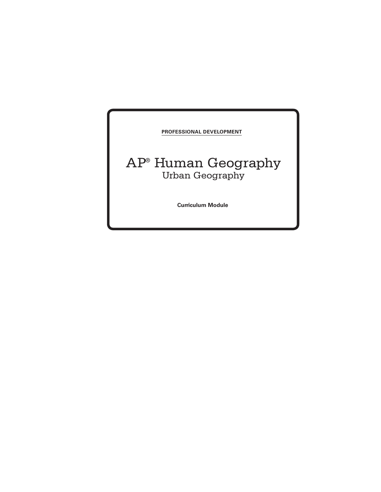**Professional Development** 

# AP® Human Geography Urban Geography

**Curriculum Module**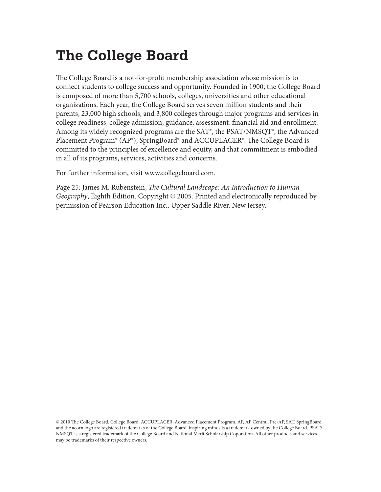# **The College Board**

The College Board is a not-for-profit membership association whose mission is to connect students to college success and opportunity. Founded in 1900, the College Board is composed of more than 5,700 schools, colleges, universities and other educational organizations. Each year, the College Board serves seven million students and their parents, 23,000 high schools, and 3,800 colleges through major programs and services in college readiness, college admission, guidance, assessment, financial aid and enrollment. Among its widely recognized programs are the SAT®, the PSAT/NMSQT®, the Advanced Placement Program® (AP®), SpringBoard® and ACCUPLACER®. The College Board is committed to the principles of excellence and equity, and that commitment is embodied in all of its programs, services, activities and concerns.

For further information, visit www.collegeboard.com.

Page 25: James M. Rubenstein, *The Cultural Landscape: An Introduction to Human Geography*, Eighth Edition. Copyright © 2005. Printed and electronically reproduced by permission of Pearson Education Inc., Upper Saddle River, New Jersey.

© 2010 The College Board. College Board, ACCUPLACER, Advanced Placement Program, AP, AP Central, Pre-AP, SAT, SpringBoard and the acorn logo are registered trademarks of the College Board. inspiring minds is a trademark owned by the College Board. PSAT/ NMSQT is a registered trademark of the College Board and National Merit Scholarship Coporation. All other products and services may be trademarks of their respective owners.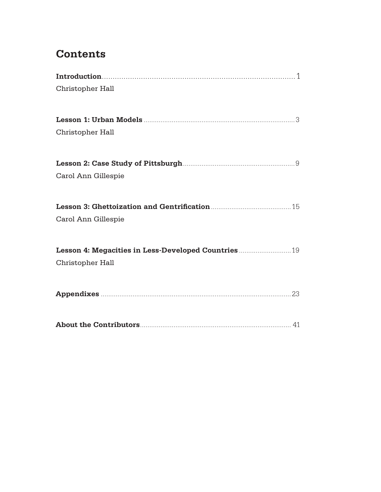# **Contents**

| Christopher Hall                                     |
|------------------------------------------------------|
|                                                      |
|                                                      |
| Christopher Hall                                     |
|                                                      |
| Carol Ann Gillespie                                  |
|                                                      |
| Carol Ann Gillespie                                  |
| Lesson 4: Megacities in Less-Developed Countries  19 |
| Christopher Hall                                     |
|                                                      |
|                                                      |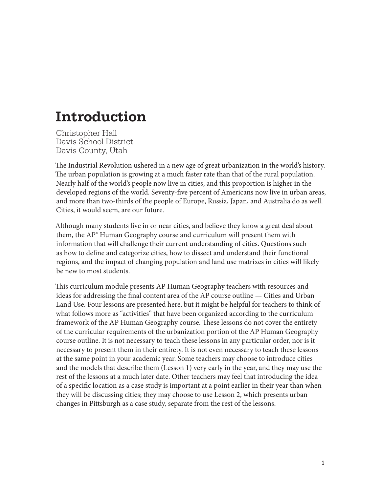# **Introduction**

Christopher Hall Davis School District Davis County, Utah

The Industrial Revolution ushered in a new age of great urbanization in the world's history. The urban population is growing at a much faster rate than that of the rural population. Nearly half of the world's people now live in cities, and this proportion is higher in the developed regions of the world. Seventy-five percent of Americans now live in urban areas, and more than two-thirds of the people of Europe, Russia, Japan, and Australia do as well. Cities, it would seem, are our future.

Although many students live in or near cities, and believe they know a great deal about them, the AP® Human Geography course and curriculum will present them with information that will challenge their current understanding of cities. Questions such as how to define and categorize cities, how to dissect and understand their functional regions, and the impact of changing population and land use matrixes in cities will likely be new to most students.

This curriculum module presents AP Human Geography teachers with resources and ideas for addressing the final content area of the AP course outline — Cities and Urban Land Use. Four lessons are presented here, but it might be helpful for teachers to think of what follows more as "activities" that have been organized according to the curriculum framework of the AP Human Geography course. These lessons do not cover the entirety of the curricular requirements of the urbanization portion of the AP Human Geography course outline. It is not necessary to teach these lessons in any particular order, nor is it necessary to present them in their entirety. It is not even necessary to teach these lessons at the same point in your academic year. Some teachers may choose to introduce cities and the models that describe them (Lesson 1) very early in the year, and they may use the rest of the lessons at a much later date. Other teachers may feel that introducing the idea of a specific location as a case study is important at a point earlier in their year than when they will be discussing cities; they may choose to use Lesson 2, which presents urban changes in Pittsburgh as a case study, separate from the rest of the lessons.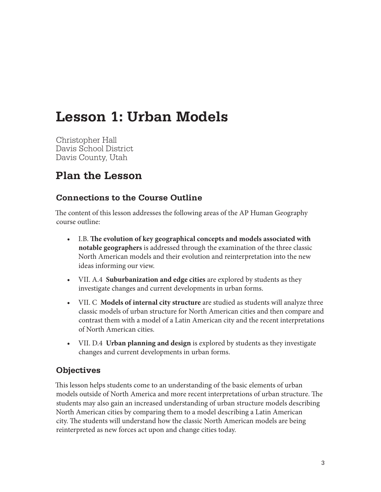# **Lesson 1: Urban Models**

Christopher Hall Davis School District Davis County, Utah

### **Plan the Lesson**

#### **Connections to the Course Outline**

The content of this lesson addresses the following areas of the AP Human Geography course outline:

- **•**  I.B. **The evolution of key geographical concepts and models associated with notable geographers** is addressed through the examination of the three classic North American models and their evolution and reinterpretation into the new ideas informing our view.
- **•**  VII. A.4 **Suburbanization and edge cities** are explored by students as they investigate changes and current developments in urban forms.
- **•**  VII. C **Models of internal city structure** are studied as students will analyze three classic models of urban structure for North American cities and then compare and contrast them with a model of a Latin American city and the recent interpretations of North American cities.
- **•**  VII. D.4 **Urban planning and design** is explored by students as they investigate changes and current developments in urban forms.

#### **Objectives**

This lesson helps students come to an understanding of the basic elements of urban models outside of North America and more recent interpretations of urban structure. The students may also gain an increased understanding of urban structure models describing North American cities by comparing them to a model describing a Latin American city. The students will understand how the classic North American models are being reinterpreted as new forces act upon and change cities today.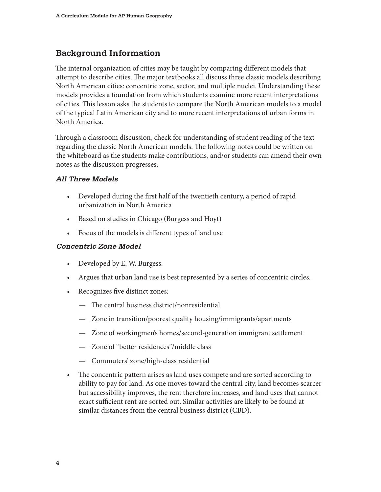#### **Background Information**

The internal organization of cities may be taught by comparing different models that attempt to describe cities. The major textbooks all discuss three classic models describing North American cities: concentric zone, sector, and multiple nuclei. Understanding these models provides a foundation from which students examine more recent interpretations of cities. This lesson asks the students to compare the North American models to a model of the typical Latin American city and to more recent interpretations of urban forms in North America.

Through a classroom discussion, check for understanding of student reading of the text regarding the classic North American models. The following notes could be written on the whiteboard as the students make contributions, and/or students can amend their own notes as the discussion progresses.

#### **All Three Models**

- Developed during the first half of the twentieth century, a period of rapid urbanization in North America
- Based on studies in Chicago (Burgess and Hoyt)
- Focus of the models is different types of land use

#### **Concentric Zone Model**

- Developed by E. W. Burgess.
- Argues that urban land use is best represented by a series of concentric circles.
- Recognizes five distinct zones:
	- The central business district/nonresidential
	- Zone in transition/poorest quality housing/immigrants/apartments
	- Zone of workingmen's homes/second-generation immigrant settlement
	- Zone of "better residences"/middle class
	- Commuters' zone/high-class residential
- The concentric pattern arises as land uses compete and are sorted according to ability to pay for land. As one moves toward the central city, land becomes scarcer but accessibility improves, the rent therefore increases, and land uses that cannot exact sufficient rent are sorted out. Similar activities are likely to be found at similar distances from the central business district (CBD).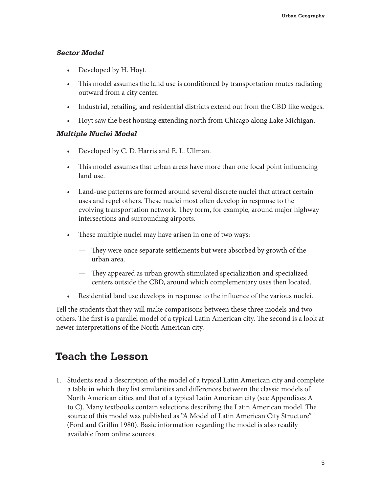#### **Sector Model**

- Developed by H. Hoyt.
- This model assumes the land use is conditioned by transportation routes radiating outward from a city center.
- Industrial, retailing, and residential districts extend out from the CBD like wedges.
- Hoyt saw the best housing extending north from Chicago along Lake Michigan.

#### **Multiple Nuclei Model**

- Developed by C. D. Harris and E. L. Ullman.
- This model assumes that urban areas have more than one focal point influencing land use.
- Land-use patterns are formed around several discrete nuclei that attract certain uses and repel others. These nuclei most often develop in response to the evolving transportation network. They form, for example, around major highway intersections and surrounding airports.
- These multiple nuclei may have arisen in one of two ways:
	- They were once separate settlements but were absorbed by growth of the urban area.
	- They appeared as urban growth stimulated specialization and specialized centers outside the CBD, around which complementary uses then located.
- Residential land use develops in response to the influence of the various nuclei.

Tell the students that they will make comparisons between these three models and two others. The first is a parallel model of a typical Latin American city. The second is a look at newer interpretations of the North American city.

### **Teach the Lesson**

1. Students read a description of the model of a typical Latin American city and complete a table in which they list similarities and differences between the classic models of North American cities and that of a typical Latin American city (see Appendixes A to C). Many textbooks contain selections describing the Latin American model. The source of this model was published as "A Model of Latin American City Structure" (Ford and Griffin 1980). Basic information regarding the model is also readily available from online sources.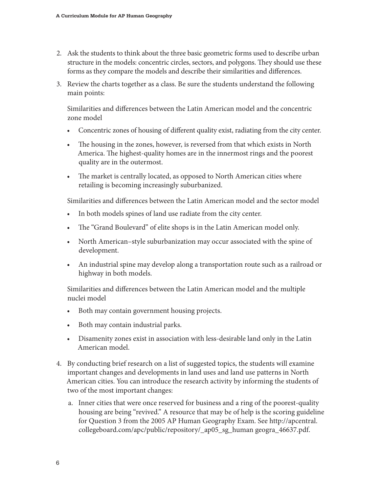- 2. Ask the students to think about the three basic geometric forms used to describe urban structure in the models: concentric circles, sectors, and polygons. They should use these forms as they compare the models and describe their similarities and differences.
- 3. Review the charts together as a class. Be sure the students understand the following main points:

Similarities and differences between the Latin American model and the concentric zone model

- Concentric zones of housing of different quality exist, radiating from the city center.
- The housing in the zones, however, is reversed from that which exists in North America. The highest-quality homes are in the innermost rings and the poorest quality are in the outermost.
- The market is centrally located, as opposed to North American cities where retailing is becoming increasingly suburbanized.

Similarities and differences between the Latin American model and the sector model

- In both models spines of land use radiate from the city center.
- The "Grand Boulevard" of elite shops is in the Latin American model only.
- North American–style suburbanization may occur associated with the spine of development.
- An industrial spine may develop along a transportation route such as a railroad or highway in both models.

Similarities and differences between the Latin American model and the multiple nuclei model

- Both may contain government housing projects.
- Both may contain industrial parks.
- Disamenity zones exist in association with less-desirable land only in the Latin American model.
- 4. By conducting brief research on a list of suggested topics, the students will examine important changes and developments in land uses and land use patterns in North American cities. You can introduce the research activity by informing the students of two of the most important changes:
	- a. Inner cities that were once reserved for business and a ring of the poorest-quality housing are being "revived." A resource that may be of help is the scoring guideline for Question 3 from the 2005 AP Human Geography Exam. See http://apcentral. collegeboard.com/apc/public/repository/\_ap05\_sg\_human geogra\_46637.pdf.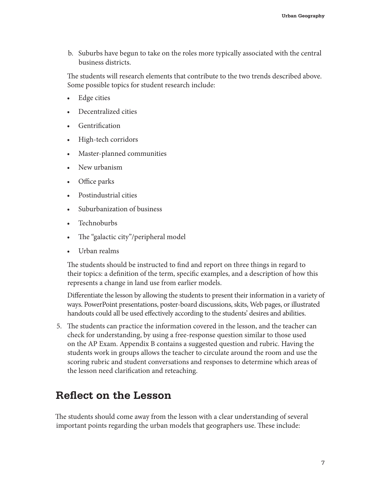b. Suburbs have begun to take on the roles more typically associated with the central business districts.

The students will research elements that contribute to the two trends described above. Some possible topics for student research include:

- Edge cities
- Decentralized cities
- **Gentrification**
- High-tech corridors
- Master-planned communities
- New urbanism
- Office parks
- Postindustrial cities
- Suburbanization of business
- Technoburbs
- The "galactic city"/peripheral model
- Urban realms

The students should be instructed to find and report on three things in regard to their topics: a definition of the term, specific examples, and a description of how this represents a change in land use from earlier models.

Differentiate the lesson by allowing the students to present their information in a variety of ways. PowerPoint presentations, poster-board discussions, skits, Web pages, or illustrated handouts could all be used effectively according to the students' desires and abilities.

5. The students can practice the information covered in the lesson, and the teacher can check for understanding, by using a free-response question similar to those used on the AP Exam. Appendix B contains a suggested question and rubric. Having the students work in groups allows the teacher to circulate around the room and use the scoring rubric and student conversations and responses to determine which areas of the lesson need clarification and reteaching.

### **Reflect on the Lesson**

The students should come away from the lesson with a clear understanding of several important points regarding the urban models that geographers use. These include: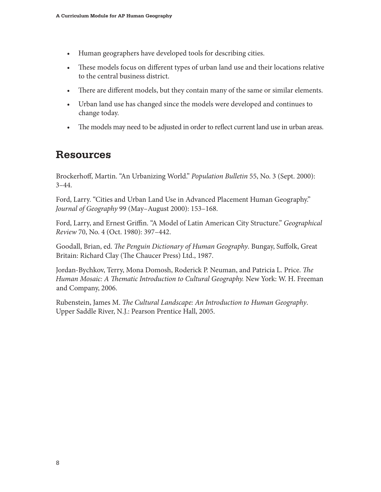- Human geographers have developed tools for describing cities.
- These models focus on different types of urban land use and their locations relative to the central business district.
- There are different models, but they contain many of the same or similar elements.
- Urban land use has changed since the models were developed and continues to change today.
- The models may need to be adjusted in order to reflect current land use in urban areas.

### **Resources**

Brockerhoff, Martin. "An Urbanizing World." *Population Bulletin* 55, No. 3 (Sept. 2000):  $3-44.$ 

Ford, Larry. "Cities and Urban Land Use in Advanced Placement Human Geography." *Journal of Geography* 99 (May–August 2000): 153–168.

Ford, Larry, and Ernest Griffin. "A Model of Latin American City Structure." *Geographical Review* 70, No. 4 (Oct. 1980): 397–442.

Goodall, Brian, ed. *The Penguin Dictionary of Human Geography*. Bungay, Suffolk, Great Britain: Richard Clay (The Chaucer Press) Ltd., 1987.

Jordan-Bychkov, Terry, Mona Domosh, Roderick P. Neuman, and Patricia L. Price. *The Human Mosaic: A Thematic Introduction to Cultural Geography. New York: W. H. Freeman* and Company, 2006.

Rubenstein, James M. *The Cultural Landscape: An Introduction to Human Geography*. Upper Saddle River, N.J.: Pearson Prentice Hall, 2005.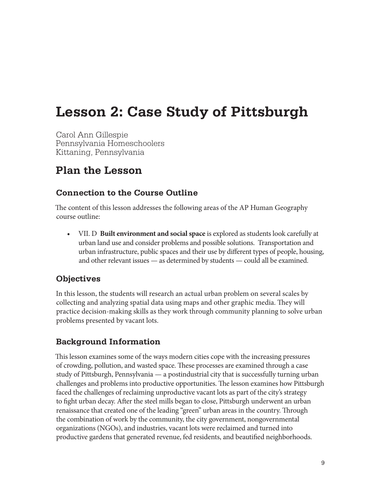# **Lesson 2: Case Study of Pittsburgh**

Carol Ann Gillespie Pennsylvania Homeschoolers Kittaning, Pennsylvania

### **Plan the Lesson**

#### **Connection to the Course Outline**

The content of this lesson addresses the following areas of the AP Human Geography course outline:

**•**  VII. D **Built environment and socialspace** is explored as students look carefully at urban land use and consider problems and possible solutions. Transportation and urban infrastructure, public spaces and their use by different types of people, housing, and other relevant issues — as determined by students — could all be examined.

#### **Objectives**

In this lesson, the students will research an actual urban problem on several scales by collecting and analyzing spatial data using maps and other graphic media. They will practice decision-making skills as they work through community planning to solve urban problems presented by vacant lots.

#### **Background Information**

This lesson examines some of the ways modern cities cope with the increasing pressures of crowding, pollution, and wasted space. These processes are examined through a case study of Pittsburgh, Pennsylvania — a postindustrial city that is successfully turning urban challenges and problems into productive opportunities. The lesson examines how Pittsburgh faced the challenges of reclaiming unproductive vacant lots as part of the city's strategy to fight urban decay. After the steel mills began to close, Pittsburgh underwent an urban renaissance that created one of the leading "green" urban areas in the country. Through the combination of work by the community, the city government, nongovernmental organizations (NGOs), and industries, vacant lots were reclaimed and turned into productive gardens that generated revenue, fed residents, and beautified neighborhoods.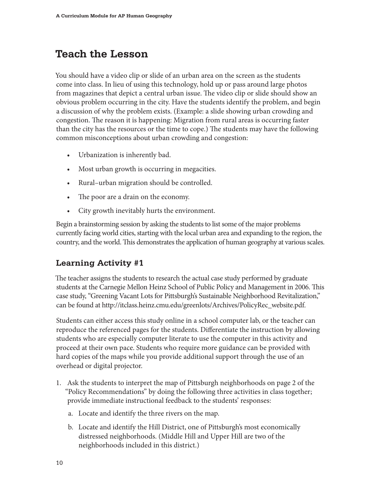### **Teach the Lesson**

You should have a video clip or slide of an urban area on the screen as the students come into class. In lieu of using this technology, hold up or pass around large photos from magazines that depict a central urban issue. The video clip or slide should show an obvious problem occurring in the city. Have the students identify the problem, and begin a discussion of why the problem exists. (Example: a slide showing urban crowding and congestion. The reason it is happening: Migration from rural areas is occurring faster than the city has the resources or the time to cope.) The students may have the following common misconceptions about urban crowding and congestion:

- Urbanization is inherently bad.
- Most urban growth is occurring in megacities.
- Rural–urban migration should be controlled.
- The poor are a drain on the economy.
- City growth inevitably hurts the environment.

Begin a brainstorming session by asking the students to list some of the major problems currently facing world cities, starting with the local urban area and expanding to the region, the country, and the world. This demonstrates the application of human geography at various scales.

#### **Learning Activity #1**

The teacher assigns the students to research the actual case study performed by graduate students at the Carnegie Mellon Heinz School of Public Policy and Management in 2006. This case study, "Greening Vacant Lots for Pittsburgh's Sustainable Neighborhood Revitalization," can be found at http://itclass.heinz.cmu.edu/greenlots/Archives/PolicyRec\_website.pdf.

Students can either access this study online in a school computer lab, or the teacher can reproduce the referenced pages for the students. Differentiate the instruction by allowing students who are especially computer literate to use the computer in this activity and proceed at their own pace. Students who require more guidance can be provided with hard copies of the maps while you provide additional support through the use of an overhead or digital projector.

- 1. Ask the students to interpret the map of Pittsburgh neighborhoods on page 2 of the "Policy Recommendations" by doing the following three activities in class together; provide immediate instructional feedback to the students' responses:
	- a. Locate and identify the three rivers on the map.
	- b. Locate and identify the Hill District, one of Pittsburgh's most economically distressed neighborhoods. (Middle Hill and Upper Hill are two of the neighborhoods included in this district.)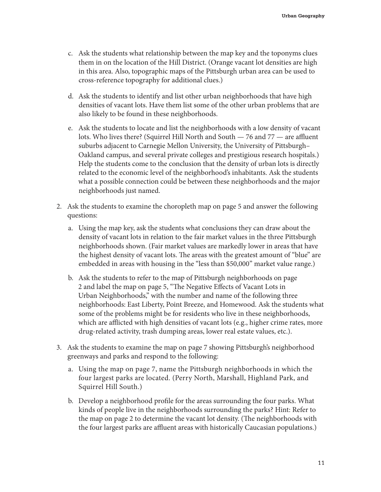- c. Ask the students what relationship between the map key and the toponyms clues them in on the location of the Hill District. (Orange vacant lot densities are high in this area. Also, topographic maps of the Pittsburgh urban area can be used to cross-reference topography for additional clues.)
- d. Ask the students to identify and list other urban neighborhoods that have high densities of vacant lots. Have them list some of the other urban problems that are also likely to be found in these neighborhoods.
- e. Ask the students to locate and list the neighborhoods with a low density of vacant lots. Who lives there? (Squirrel Hill North and South — 76 and 77 — are affluent suburbs adjacent to Carnegie Mellon University, the University of Pittsburgh– Oakland campus, and several private colleges and prestigious research hospitals.) Help the students come to the conclusion that the density of urban lots is directly related to the economic level of the neighborhood's inhabitants. Ask the students what a possible connection could be between these neighborhoods and the major neighborhoods just named.
- 2. Ask the students to examine the choropleth map on page 5 and answer the following questions:
	- a. Using the map key, ask the students what conclusions they can draw about the density of vacant lots in relation to the fair market values in the three Pittsburgh neighborhoods shown. (Fair market values are markedly lower in areas that have the highest density of vacant lots. The areas with the greatest amount of "blue" are embedded in areas with housing in the "less than \$50,000" market value range.)
	- b. Ask the students to refer to the map of Pittsburgh neighborhoods on page 2 and label the map on page 5, "The Negative Effects of Vacant Lots in Urban Neighborhoods," with the number and name of the following three neighborhoods: East Liberty, Point Breeze, and Homewood. Ask the students what some of the problems might be for residents who live in these neighborhoods, which are afflicted with high densities of vacant lots (e.g., higher crime rates, more drug-related activity, trash dumping areas, lower real estate values, etc.).
- 3. Ask the students to examine the map on page 7 showing Pittsburgh's neighborhood greenways and parks and respond to the following:
	- a. Using the map on page 7, name the Pittsburgh neighborhoods in which the four largest parks are located. (Perry North, Marshall, Highland Park, and Squirrel Hill South.)
	- b. Develop a neighborhood profile for the areas surrounding the four parks. What kinds of people live in the neighborhoods surrounding the parks? Hint: Refer to the map on page 2 to determine the vacant lot density. (The neighborhoods with the four largest parks are affluent areas with historically Caucasian populations.)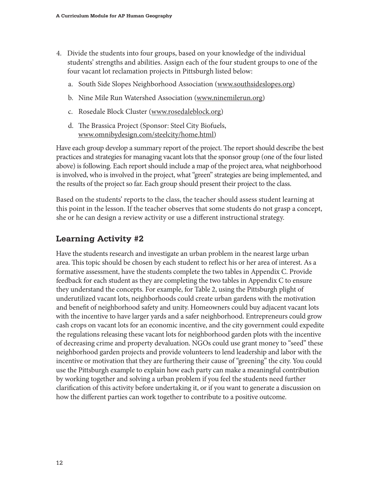- 4. Divide the students into four groups, based on your knowledge of the individual students' strengths and abilities. Assign each of the four student groups to one of the four vacant lot reclamation projects in Pittsburgh listed below:
	- a. South Side Slopes Neighborhood Association (www.southsideslopes.org)
	- b. Nine Mile Run Watershed Association (www.ninemilerun.org)
	- c. Rosedale Block Cluster (www.rosedaleblock.org)
	- d. The Brassica Project (Sponsor: Steel City Biofuels, www.omnibydesign.com/steelcity/home.html)

Have each group develop a summary report of the project. The report should describe the best practices and strategies for managing vacant lots that the sponsor group (one of the four listed above) is following. Each report should include a map of the project area, what neighborhood is involved, who is involved in the project, what "green" strategies are being implemented, and the results of the project so far. Each group should present their project to the class.

Based on the students' reports to the class, the teacher should assess student learning at this point in the lesson. If the teacher observes that some students do not grasp a concept, she or he can design a review activity or use a different instructional strategy.

#### **Learning Activity #2**

Have the students research and investigate an urban problem in the nearest large urban area. This topic should be chosen by each student to reflect his or her area of interest. As a formative assessment, have the students complete the two tables in Appendix C. Provide feedback for each student as they are completing the two tables in Appendix C to ensure they understand the concepts. For example, for Table 2, using the Pittsburgh plight of underutilized vacant lots, neighborhoods could create urban gardens with the motivation and benefit of neighborhood safety and unity. Homeowners could buy adjacent vacant lots with the incentive to have larger yards and a safer neighborhood. Entrepreneurs could grow cash crops on vacant lots for an economic incentive, and the city government could expedite the regulations releasing these vacant lots for neighborhood garden plots with the incentive of decreasing crime and property devaluation. NGOs could use grant money to "seed" these neighborhood garden projects and provide volunteers to lend leadership and labor with the incentive or motivation that they are furthering their cause of "greening" the city. You could use the Pittsburgh example to explain how each party can make a meaningful contribution by working together and solving a urban problem if you feel the students need further clarification of this activity before undertaking it, or if you want to generate a discussion on how the different parties can work together to contribute to a positive outcome.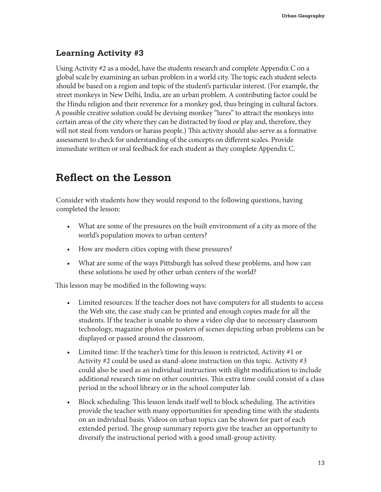#### **Learning Activity #3**

Using Activity #2 as a model, have the students research and complete Appendix C on a global scale by examining an urban problem in a world city. The topic each student selects should be based on a region and topic of the student's particular interest. (For example, the street monkeys in New Delhi, India, are an urban problem. A contributing factor could be the Hindu religion and their reverence for a monkey god, thus bringing in cultural factors. A possible creative solution could be devising monkey "lures" to attract the monkeys into certain areas of the city where they can be distracted by food or play and, therefore, they will not steal from vendors or harass people.) This activity should also serve as a formative assessment to check for understanding of the concepts on different scales. Provide immediate written or oral feedback for each student as they complete Appendix C.

### **Reflect on the Lesson**

Consider with students how they would respond to the following questions, having completed the lesson:

- What are some of the pressures on the built environment of a city as more of the world's population moves to urban centers?
- How are modern cities coping with these pressures?
- What are some of the ways Pittsburgh has solved these problems, and how can these solutions be used by other urban centers of the world?

This lesson may be modified in the following ways:

- Limited resources: If the teacher does not have computers for all students to access the Web site, the case study can be printed and enough copies made for all the students. If the teacher is unable to show a video clip due to necessary classroom technology, magazine photos or posters of scenes depicting urban problems can be displayed or passed around the classroom.
- Limited time: If the teacher's time for this lesson is restricted, Activity #1 or Activity #2 could be used as stand-alone instruction on this topic. Activity #3 could also be used as an individual instruction with slight modification to include additional research time on other countries. This extra time could consist of a class period in the school library or in the school computer lab.
- Block scheduling: This lesson lends itself well to block scheduling. The activities provide the teacher with many opportunities for spending time with the students on an individual basis. Videos on urban topics can be shown for part of each extended period. The group summary reports give the teacher an opportunity to diversify the instructional period with a good small-group activity.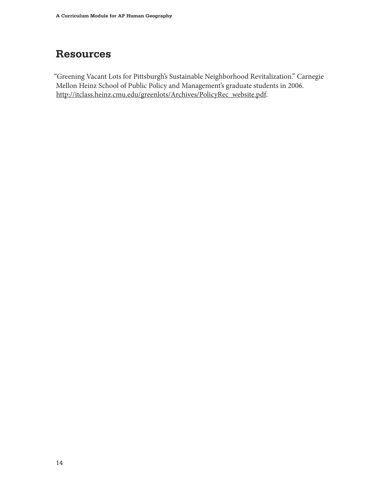# **Resources**

"Greening Vacant Lots for Pittsburgh's Sustainable Neighborhood Revitalization." Carnegie Mellon Heinz School of Public Policy and Management's graduate students in 2006. http://itclass.heinz.cmu.edu/greenlots/Archives/PolicyRec\_website.pdf.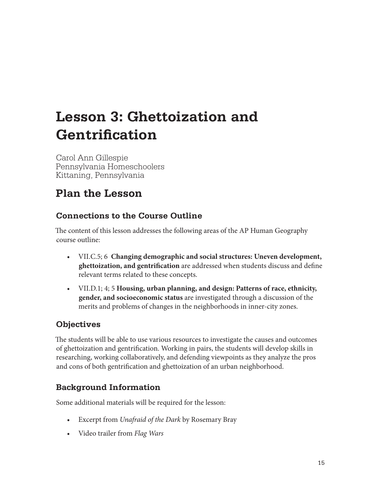# **Lesson 3: Ghettoization and Gentrification**

Carol Ann Gillespie Pennsylvania Homeschoolers Kittaning, Pennsylvania

# **Plan the Lesson**

#### **Connections to the Course Outline**

The content of this lesson addresses the following areas of the AP Human Geography course outline:

- VII.C.5; 6 **Changing demographic and social structures: Uneven development, ghettoization, and gentrification** are addressed when students discuss and define relevant terms related to these concepts.
- VII.D.1; 4; 5 **Housing, urban planning, and design: Patterns of race, ethnicity, gender, and socioeconomic status** are investigated through a discussion of the merits and problems of changes in the neighborhoods in inner-city zones.

#### **Objectives**

The students will be able to use various resources to investigate the causes and outcomes of ghettoization and gentrification. Working in pairs, the students will develop skills in researching, working collaboratively, and defending viewpoints as they analyze the pros and cons of both gentrification and ghettoization of an urban neighborhood.

### **Background Information**

Some additional materials will be required for the lesson:

- Excerpt from *Unafraid of the Dark* by Rosemary Bray
- Video trailer from *Flag Wars*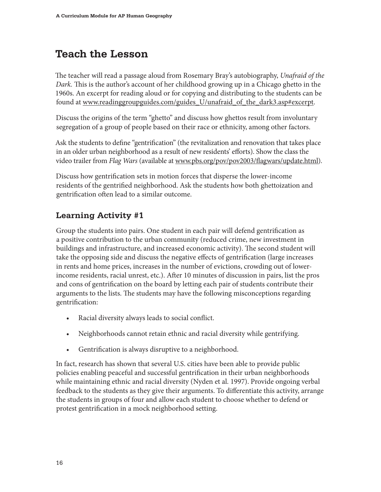# **Teach the Lesson**

The teacher will read a passage aloud from Rosemary Bray's autobiography, *Unafraid of the Dark.* This is the author's account of her childhood growing up in a Chicago ghetto in the 1960s. An excerpt for reading aloud or for copying and distributing to the students can be found at www.readinggroupguides.com/guides\_U/unafraid\_of\_the\_dark3.asp#excerpt.

Discuss the origins of the term "ghetto" and discuss how ghettos result from involuntary segregation of a group of people based on their race or ethnicity, among other factors.

Ask the students to define "gentrification" (the revitalization and renovation that takes place in an older urban neighborhood as a result of new residents' efforts). Show the class the video trailer from *Flag Wars* (available at www.pbs.org/pov/pov2003/flagwars/update.html).

Discuss how gentrification sets in motion forces that disperse the lower-income residents of the gentrified neighborhood. Ask the students how both ghettoization and gentrification often lead to a similar outcome.

### **Learning Activity #1**

Group the students into pairs. One student in each pair will defend gentrification as a positive contribution to the urban community (reduced crime, new investment in buildings and infrastructure, and increased economic activity). The second student will take the opposing side and discuss the negative effects of gentrification (large increases in rents and home prices, increases in the number of evictions, crowding out of lowerincome residents, racial unrest, etc.). After 10 minutes of discussion in pairs, list the pros and cons of gentrification on the board by letting each pair of students contribute their arguments to the lists. The students may have the following misconceptions regarding gentrification:

- Racial diversity always leads to social conflict.
- Neighborhoods cannot retain ethnic and racial diversity while gentrifying.
- Gentrification is always disruptive to a neighborhood.

In fact, research has shown that several U.S. cities have been able to provide public policies enabling peaceful and successful gentrification in their urban neighborhoods while maintaining ethnic and racial diversity (Nyden et al. 1997). Provide ongoing verbal feedback to the students as they give their arguments. To differentiate this activity, arrange the students in groups of four and allow each student to choose whether to defend or protest gentrification in a mock neighborhood setting.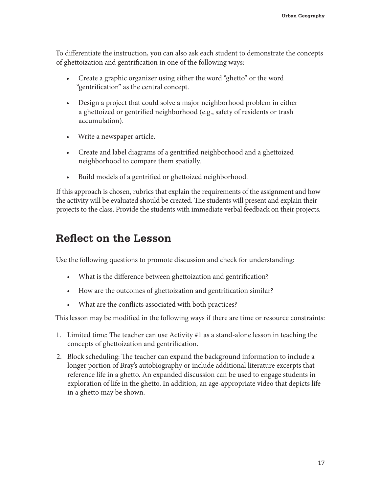To differentiate the instruction, you can also ask each student to demonstrate the concepts of ghettoization and gentrification in one of the following ways:

- Create a graphic organizer using either the word "ghetto" or the word "gentrification" as the central concept.
- Design a project that could solve a major neighborhood problem in either a ghettoized or gentrified neighborhood (e.g., safety of residents or trash accumulation).
- Write a newspaper article.
- Create and label diagrams of a gentrified neighborhood and a ghettoized neighborhood to compare them spatially.
- Build models of a gentrified or ghettoized neighborhood.

If this approach is chosen, rubrics that explain the requirements of the assignment and how the activity will be evaluated should be created. The students will present and explain their projects to the class. Provide the students with immediate verbal feedback on their projects.

### **Reflect on the Lesson**

Use the following questions to promote discussion and check for understanding:

- What is the difference between ghettoization and gentrification?
- How are the outcomes of ghettoization and gentrification similar?
- What are the conflicts associated with both practices?

This lesson may be modified in the following ways if there are time or resource constraints:

- 1. Limited time: The teacher can use Activity #1 as a stand-alone lesson in teaching the concepts of ghettoization and gentrification.
- 2. Block scheduling: The teacher can expand the background information to include a longer portion of Bray's autobiography or include additional literature excerpts that reference life in a ghetto. An expanded discussion can be used to engage students in exploration of life in the ghetto. In addition, an age-appropriate video that depicts life in a ghetto may be shown.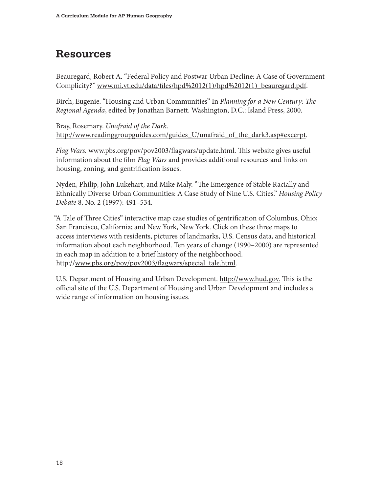## **Resources**

Beauregard, Robert A. "Federal Policy and Postwar Urban Decline: A Case of Government Complicity?" www.mi.vt.edu/data/files/hpd%2012(1)/hpd%2012(1)\_beauregard.pdf.

Birch, Eugenie. "Housing and Urban Communities" In *Planning for a New Century: The Regional Agenda*, edited by Jonathan Barnett. Washington, D.C.: Island Press, 2000.

Bray, Rosemary. *Unafraid of the Dark*. http://www.readinggroupguides.com/guides\_U/unafraid\_of\_the\_dark3.asp#excerpt.

*Flag Wars.* www.pbs.org/pov/pov2003/flagwars/update.html. This website gives useful information about the film *Flag Wars* and provides additional resources and links on housing, zoning, and gentrification issues.

Nyden, Philip, John Lukehart, and Mike Maly. "The Emergence of Stable Racially and Ethnically Diverse Urban Communities: A Case Study of Nine U.S. Cities." *Housing Policy Debate* 8, No. 2 (1997): 491–534.

"A Tale of Three Cities" interactive map case studies of gentrification of Columbus, Ohio; San Francisco, California; and New York, New York. Click on these three maps to access interviews with residents, pictures of landmarks, U.S. Census data, and historical information about each neighborhood. Ten years of change (1990–2000) are represented in each map in addition to a brief history of the neighborhood. http://www.pbs.org/pov/pov2003/flagwars/special\_tale.html.

U.S. Department of Housing and Urban Development. http://www.hud.gov. This is the official site of the U.S. Department of Housing and Urban Development and includes a wide range of information on housing issues.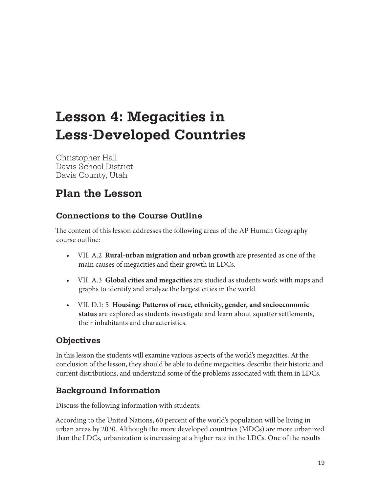# **Lesson 4: Megacities in Less-Developed Countries**

Christopher Hall Davis School District Davis County, Utah

# **Plan the Lesson**

#### **Connections to the Course Outline**

The content of this lesson addresses the following areas of the AP Human Geography course outline:

- VII. A.2 **Rural-urban migration and urban growth** are presented as one of the main causes of megacities and their growth in LDCs.
- VII. A.3 **Global cities and megacities** are studied as students work with maps and graphs to identify and analyze the largest cities in the world.
- VII. D.1: 5 **Housing: Patterns of race, ethnicity, gender, and socioeconomic status** are explored as students investigate and learn about squatter settlements, their inhabitants and characteristics.

#### **Objectives**

In this lesson the students will examine various aspects of the world's megacities. At the conclusion of the lesson, they should be able to define megacities, describe their historic and current distributions, and understand some of the problems associated with them in LDCs.

#### **Background Information**

Discuss the following information with students:

According to the United Nations, 60 percent of the world's population will be living in urban areas by 2030. Although the more developed countries (MDCs) are more urbanized than the LDCs, urbanization is increasing at a higher rate in the LDCs. One of the results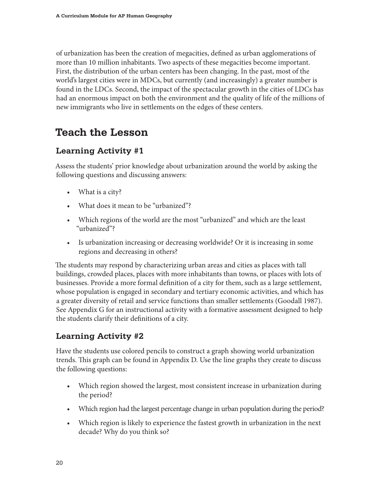of urbanization has been the creation of megacities, defined as urban agglomerations of more than 10 million inhabitants. Two aspects of these megacities become important. First, the distribution of the urban centers has been changing. In the past, most of the world's largest cities were in MDCs, but currently (and increasingly) a greater number is found in the LDCs. Second, the impact of the spectacular growth in the cities of LDCs has had an enormous impact on both the environment and the quality of life of the millions of new immigrants who live in settlements on the edges of these centers.

# **Teach the Lesson**

#### **Learning Activity #1**

Assess the students' prior knowledge about urbanization around the world by asking the following questions and discussing answers:

- What is a city?
- What does it mean to be "urbanized"?
- Which regions of the world are the most "urbanized" and which are the least "urbanized"?
- Is urbanization increasing or decreasing worldwide? Or it is increasing in some regions and decreasing in others?

The students may respond by characterizing urban areas and cities as places with tall buildings, crowded places, places with more inhabitants than towns, or places with lots of businesses. Provide a more formal definition of a city for them, such as a large settlement, whose population is engaged in secondary and tertiary economic activities, and which has a greater diversity of retail and service functions than smaller settlements (Goodall 1987). See Appendix G for an instructional activity with a formative assessment designed to help the students clarify their definitions of a city.

#### **Learning Activity #2**

Have the students use colored pencils to construct a graph showing world urbanization trends. This graph can be found in Appendix D. Use the line graphs they create to discuss the following questions:

- Which region showed the largest, most consistent increase in urbanization during the period?
- Which region had the largest percentage change in urban population during the period?
- Which region is likely to experience the fastest growth in urbanization in the next decade? Why do you think so?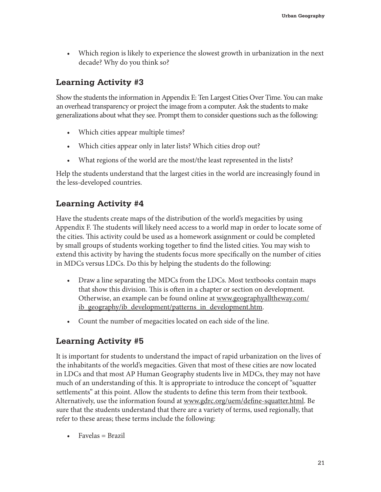• Which region is likely to experience the slowest growth in urbanization in the next decade? Why do you think so?

#### **Learning Activity #3**

Show the students the information in Appendix E: Ten Largest Cities Over Time. You can make an overhead transparency or project the image from a computer. Ask the students to make generalizations about what they see. Prompt them to consider questions such as the following:

- Which cities appear multiple times?
- Which cities appear only in later lists? Which cities drop out?
- What regions of the world are the most/the least represented in the lists?

Help the students understand that the largest cities in the world are increasingly found in the less-developed countries.

#### **Learning Activity #4**

Have the students create maps of the distribution of the world's megacities by using Appendix F. The students will likely need access to a world map in order to locate some of the cities. This activity could be used as a homework assignment or could be completed by small groups of students working together to find the listed cities. You may wish to extend this activity by having the students focus more specifically on the number of cities in MDCs versus LDCs. Do this by helping the students do the following:

- Draw a line separating the MDCs from the LDCs. Most textbooks contain maps that show this division. This is often in a chapter or section on development. Otherwise, an example can be found online at www.geographyalltheway.com/ ib geography/ib development/patterns in development.htm.
- Count the number of megacities located on each side of the line.

#### **Learning Activity #5**

It is important for students to understand the impact of rapid urbanization on the lives of the inhabitants of the world's megacities. Given that most of these cities are now located in LDCs and that most AP Human Geography students live in MDCs, they may not have much of an understanding of this. It is appropriate to introduce the concept of "squatter settlements" at this point. Allow the students to define this term from their textbook. Alternatively, use the information found at www.gdrc.org/uem/define-squatter.html. Be sure that the students understand that there are a variety of terms, used regionally, that refer to these areas; these terms include the following:

 $\bullet$  Favelas = Brazil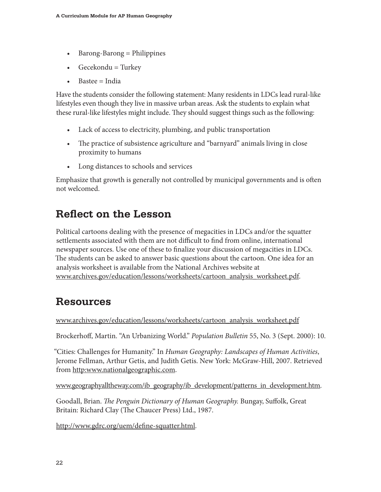- Barong-Barong = Philippines
- Gecekondu  $=$  Turkey
- Bastee = India

Have the students consider the following statement: Many residents in LDCs lead rural-like lifestyles even though they live in massive urban areas. Ask the students to explain what these rural-like lifestyles might include. They should suggest things such as the following:

- Lack of access to electricity, plumbing, and public transportation
- The practice of subsistence agriculture and "barnyard" animals living in close proximity to humans
- Long distances to schools and services

Emphasize that growth is generally not controlled by municipal governments and is often not welcomed.

# **Reflect on the Lesson**

Political cartoons dealing with the presence of megacities in LDCs and/or the squatter settlements associated with them are not difficult to find from online, international newspaper sources. Use one of these to finalize your discussion of megacities in LDCs. The students can be asked to answer basic questions about the cartoon. One idea for an analysis worksheet is available from the National Archives website at www.archives.gov/education/lessons/worksheets/cartoon\_analysis\_worksheet.pdf.

### **Resources**

www.archives.gov/education/lessons/worksheets/cartoon\_analysis\_worksheet.pdf

Brockerhoff, Martin. "An Urbanizing World." *Population Bulletin* 55, No. 3 (Sept. 2000): 10.

"Cities: Challenges for Humanity." In *Human Geography: Landscapes of Human Activities*, Jerome Fellman, Arthur Getis, and Judith Getis. New York: McGraw-Hill, 2007. Retrieved from http:www.nationalgeographic.com.

www.geographyalltheway.com/ib\_geography/ib\_development/patterns\_in\_development.htm.

Goodall, Brian. *The Penguin Dictionary of Human Geography.* Bungay, Suffolk, Great Britain: Richard Clay (The Chaucer Press) Ltd., 1987.

http://www.gdrc.org/uem/define-squatter.html.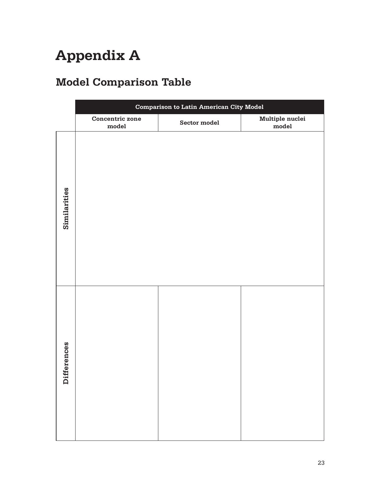# **Appendix A**

# **Model Comparison Table**

|              | <b>Comparison to Latin American City Model</b> |              |                                   |  |  |  |
|--------------|------------------------------------------------|--------------|-----------------------------------|--|--|--|
|              | Concentric zone<br>$_{\rm model}$              | Sector model | Multiple nuclei<br>$_{\rm model}$ |  |  |  |
| Similarities |                                                |              |                                   |  |  |  |
| Differences  |                                                |              |                                   |  |  |  |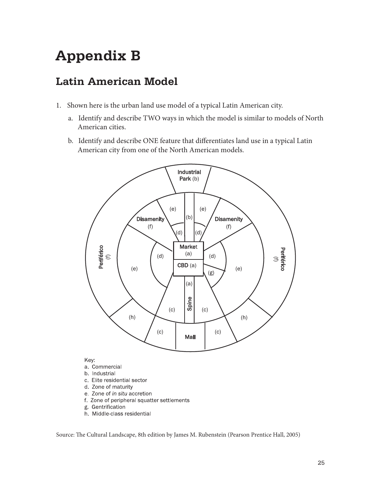# **Appendix B**

# **Latin American Model**

- 1. Shown here is the urban land use model of a typical Latin American city.
	- a. Identify and describe TWO ways in which the model is similar to models of North American cities.
	- b. Identify and describe ONE feature that differentiates land use in a typical Latin American city from one of the North American models.



- 
- b. Industrial
- c. Elite residential sector
- d. Zone of maturity e. Zone of in situ accretion
- f. Zone of peripheral squatter settlements
- g Gentrification
- h. Middle-class residential

Source: The Cultural Landscape, 8th edition by James M. Rubenstein (Pearson Prentice Hall, 2005)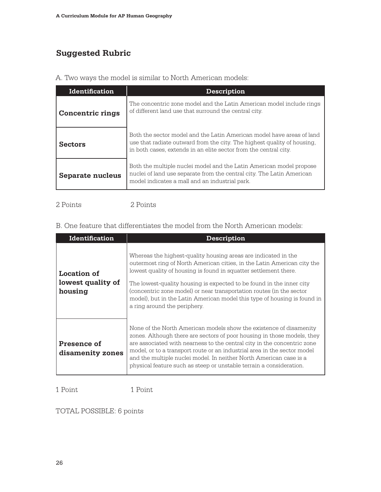### **Suggested Rubric**

|  |  |  |  | A. Two ways the model is similar to North American models: |  |
|--|--|--|--|------------------------------------------------------------|--|
|  |  |  |  |                                                            |  |

| Identification          | Description                                                                                                                                                                                                          |  |
|-------------------------|----------------------------------------------------------------------------------------------------------------------------------------------------------------------------------------------------------------------|--|
| <b>Concentric rings</b> | The concentric zone model and the Latin American model include rings<br>of different land use that surround the central city.                                                                                        |  |
| <b>Sectors</b>          | Both the sector model and the Latin American model have areas of land<br>use that radiate outward from the city. The highest quality of housing,<br>in both cases, extends in an elite sector from the central city. |  |
| Separate nucleus        | Both the multiple nuclei model and the Latin American model propose<br>nuclei of land use separate from the central city. The Latin American<br>model indicates a mall and an industrial park.                       |  |

#### 2 Points 2 Points

B. One feature that differentiates the model from the North American models:

| <b>Identification</b>                       | <b>Description</b>                                                                                                                                                                                                                                                                                                                                                                                                                                                        |
|---------------------------------------------|---------------------------------------------------------------------------------------------------------------------------------------------------------------------------------------------------------------------------------------------------------------------------------------------------------------------------------------------------------------------------------------------------------------------------------------------------------------------------|
| Location of<br>lowest quality of<br>housing | Whereas the highest-quality housing areas are indicated in the<br>outermost ring of North American cities, in the Latin American city the<br>lowest quality of housing is found in squatter settlement there.<br>The lowest-quality housing is expected to be found in the inner city<br>(concentric zone model) or near transportation routes (in the sector<br>model), but in the Latin American model this type of housing is found in<br>a ring around the periphery. |
| Presence of<br>disamenity zones             | None of the North American models show the existence of disamenity<br>zones. Although there are sectors of poor housing in those models, they<br>are associated with nearness to the central city in the concentric zone<br>model, or to a transport route or an industrial area in the sector model<br>and the multiple nuclei model. In neither North American case is a<br>physical feature such as steep or unstable terrain a consideration.                         |

1 Point 1 Point

TOTAL POSSIBLE: 6 points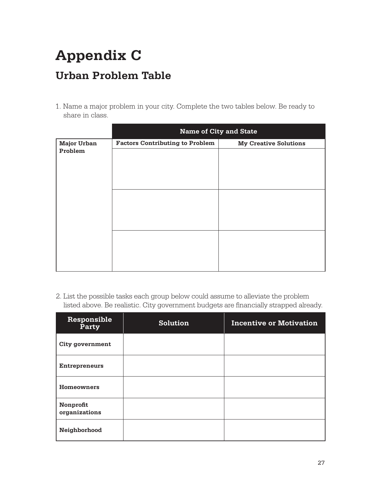# **Appendix C Urban Problem Table**

1. Name a major problem in your city. Complete the two tables below. Be ready to share in class.

|                               | <b>Name of City and State</b>          |                              |  |
|-------------------------------|----------------------------------------|------------------------------|--|
| <b>Major Urban</b><br>Problem | <b>Factors Contributing to Problem</b> | <b>My Creative Solutions</b> |  |
|                               |                                        |                              |  |
|                               |                                        |                              |  |
|                               |                                        |                              |  |
|                               |                                        |                              |  |

2. List the possible tasks each group below could assume to alleviate the problem listed above. Be realistic. City government budgets are financially strapped already.

| Responsible<br>Party       | Solution | <b>Incentive or Motivation</b> |
|----------------------------|----------|--------------------------------|
| <b>City government</b>     |          |                                |
| <b>Entrepreneurs</b>       |          |                                |
| <b>Homeowners</b>          |          |                                |
| Nonprofit<br>organizations |          |                                |
| Neighborhood               |          |                                |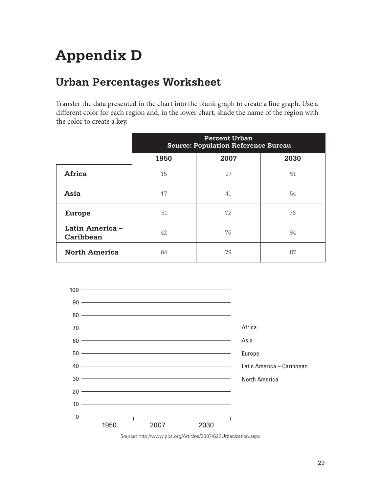# **Appendix D**

# **Urban Percentages Worksheet**

Transfer the data presented in the chart into the blank graph to create a line graph. Use a different color for each region and, in the lower chart, shade the name of the region with the color to create a key.

|                              | <b>Percent Urban</b><br><b>Source: Population Reference Bureau</b> |      |      |
|------------------------------|--------------------------------------------------------------------|------|------|
|                              | 1950                                                               | 2007 | 2030 |
| Africa                       | 15                                                                 | 37   | 51   |
| Asia                         | 17                                                                 | 41   | 54   |
| <b>Europe</b>                | 51                                                                 | 72   | 76   |
| Latin America -<br>Caribbean | 42                                                                 | 76   | 84   |
| <b>North America</b>         | 64                                                                 | 79   | 87   |

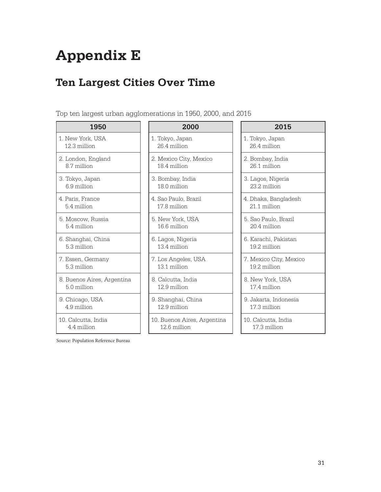# **Appendix E**

## **Ten Largest Cities Over Time**

Top ten largest urban agglomerations in 1950, 2000, and 2015

| 1950                       | 2000                        | 2015                |
|----------------------------|-----------------------------|---------------------|
| 1. New York, USA           | 1. Tokyo, Japan             | 1. Tokyo, Japan     |
| 12.3 million               | 26.4 million                | 26.4 million        |
| 2. London, England         | 2. Mexico City, Mexico      | 2. Bombay, India    |
| 8.7 million                | 18.4 million                | 26.1 million        |
| 3. Tokyo, Japan            | 3. Bombay, India            | 3. Lagos, Nigeria   |
| 6.9 million                | 18.0 million                | 23.2 million        |
| 4. Paris, France           | 4. Sao Paulo, Brazil        | 4. Dhaka, Banglad   |
| 5.4 million                | 17.8 million                | 21.1 million        |
| 5. Moscow, Russia          | 5. New York, USA            | 5. Sao Paulo, Braz  |
| 5.4 million                | 16.6 million                | 20.4 million        |
| 6. Shanghai, China         | 6. Lagos, Nigeria           | 6. Karachi, Pakista |
| 5.3 million                | 13.4 million                | 19.2 million        |
| 7. Essen, Germany          | 7. Los Angeles, USA         | 7. Mexico City, Mo  |
| 5.3 million                | 13.1 million                | 19.2 million        |
| 8. Buenos Aires, Argentina | 8. Calcutta, India          | 8. New York, USA    |
| 5.0 million                | 12.9 million                | 17.4 million        |
| 9. Chicago, USA            | 9. Shanghai, China          | 9. Jakarta, Indone  |
| 4.9 million                | 12.9 million                | 17.3 million        |
| 10. Calcutta, India        | 10. Buenos Aires, Argentina | 10. Calcutta, India |
| 4.4 million                | 12.6 million                | 17.3 million        |

Source: Population Reference Bureau

- 1. Tokyo, Japan 26.4 million
- 2. Mexico City, Mexico 18.4 million
- 3. Bombay, India 18.0 million
- 4. Sao Paulo, Brazil 17.8 million
- 5. New York, USA 16.6 million
- 6. Lagos, Nigeria 13.4 million
- 7. Los Angeles, USA 13.1 million
- 8. Calcutta, India 12.9 million
- 9. Shanghai, China 12.9 million
- 10. Buenos Aires, Argentina 12.6 million

- 1. Tokyo, Japan 26.4 million
- 2. Bombay, India 26.1 million
- 3. Lagos, Nigeria 23.2 million
- 4. Dhaka, Bangladesh 21.1 million
- 5. Sao Paulo, Brazil 20.4 million
- 6. Karachi, Pakistan 19.2 million
- 7. Mexico City, Mexico 19.2 million
- 8. New York, USA 17.4 million
- 9. Jakarta, Indonesia 17.3 million
- 10. Calcutta, India 17.3 million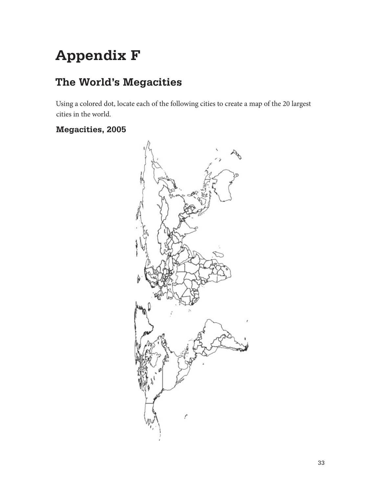# **Appendix F**

## **The World's Megacities**

Using a colored dot, locate each of the following cities to create a map of the 20 largest cities in the world.

#### **Megacities, 2005**

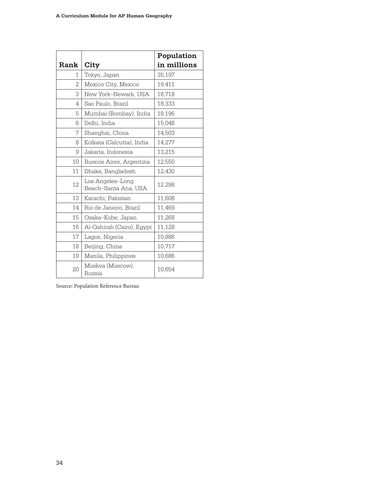|      |                                          | Population  |
|------|------------------------------------------|-------------|
| Rank | City                                     | in millions |
| 1    | Tokyo, Japan                             | 35,197      |
| 2    | Mexico City, Mexico                      | 19,411      |
| 3    | New York-Newark, USA                     | 18,718      |
| 4    | Sao Paulo, Brazil                        | 18,333      |
| 5    | Mumbai (Bombay), India                   | 18,196      |
| 6    | Delhi, India                             | 15,048      |
| 7    | Shanghai, China                          | 14,503      |
| 8    | Kolkata (Calcutta), India                | 14,277      |
| 9    | Jakarta, Indonesia                       | 13,215      |
| 10   | Buenos Aires, Argentina                  | 12,550      |
| 11   | Dhaka, Bangladesh                        | 12,430      |
| 12   | Los Angeles-Long<br>Beach–Santa Ana, USA | 12.298      |
| 13   | Karachi, Pakistan                        | 11,608      |
| 14   | Rio de Janeiro, Brazil                   | 11,469      |
| 15   | Osaka-Kobe, Japan                        | 11,268      |
| 16   | Al-Qahirah (Cairo), Egypt                | 11,128      |
| 17   | Lagos, Nigeria                           | 10,886      |
| 18   | Beijing, China                           | 10,717      |
| 19   | Manila, Philippines                      | 10,686      |
| 20   | Moskva (Moscow),<br>Russia               | 10,654      |

Source: Population Reference Bureau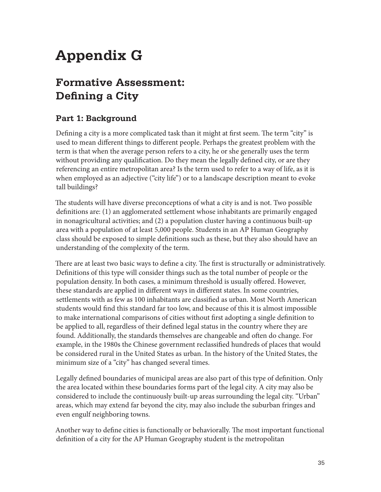# **Appendix G**

# **Formative Assessment: Defining a City**

#### **Part 1: Background**

Defining a city is a more complicated task than it might at first seem. The term "city" is used to mean different things to different people. Perhaps the greatest problem with the term is that when the average person refers to a city, he or she generally uses the term without providing any qualification. Do they mean the legally defined city, or are they referencing an entire metropolitan area? Is the term used to refer to a way of life, as it is when employed as an adjective ("city life") or to a landscape description meant to evoke tall buildings?

The students will have diverse preconceptions of what a city is and is not. Two possible definitions are: (1) an agglomerated settlement whose inhabitants are primarily engaged in nonagricultural activities; and (2) a population cluster having a continuous built-up area with a population of at least 5,000 people. Students in an AP Human Geography class should be exposed to simple definitions such as these, but they also should have an understanding of the complexity of the term.

There are at least two basic ways to define a city. The first is structurally or administratively. Definitions of this type will consider things such as the total number of people or the population density. In both cases, a minimum threshold is usually offered. However, these standards are applied in different ways in different states. In some countries, settlements with as few as 100 inhabitants are classified as urban. Most North American students would find this standard far too low, and because of this it is almost impossible to make international comparisons of cities without first adopting a single definition to be applied to all, regardless of their defined legal status in the country where they are found. Additionally, the standards themselves are changeable and often do change. For example, in the 1980s the Chinese government reclassified hundreds of places that would be considered rural in the United States as urban. In the history of the United States, the minimum size of a "city" has changed several times.

Legally defined boundaries of municipal areas are also part of this type of definition. Only the area located within these boundaries forms part of the legal city. A city may also be considered to include the continuously built-up areas surrounding the legal city. "Urban" areas, which may extend far beyond the city, may also include the suburban fringes and even engulf neighboring towns.

Another way to define cities is functionally or behaviorally. The most important functional definition of a city for the AP Human Geography student is the metropolitan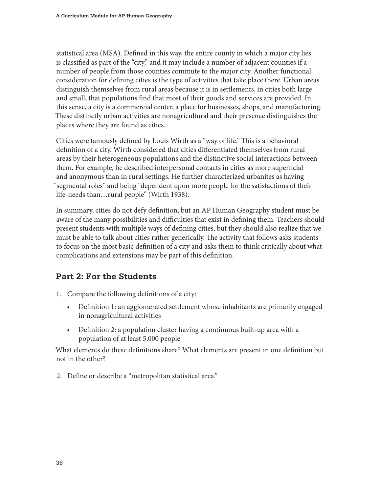statistical area (MSA). Defined in this way, the entire county in which a major city lies is classified as part of the "city," and it may include a number of adjacent counties if a number of people from those counties commute to the major city. Another functional consideration for defining cities is the type of activities that take place there. Urban areas distinguish themselves from rural areas because it is in settlements, in cities both large and small, that populations find that most of their goods and services are provided. In this sense, a city is a commercial center, a place for businesses, shops, and manufacturing. These distinctly urban activities are nonagricultural and their presence distinguishes the places where they are found as cities.

Cities were famously defined by Louis Wirth as a "way of life." This is a behavioral definition of a city. Wirth considered that cities differentiated themselves from rural areas by their heterogeneous populations and the distinctive social interactions between them. For example, he described interpersonal contacts in cities as more superficial and anonymous than in rural settings. He further characterized urbanites as having "segmental roles" and being "dependent upon more people for the satisfactions of their life-needs than…rural people" (Wirth 1938).

In summary, cities do not defy definition, but an AP Human Geography student must be aware of the many possibilities and difficulties that exist in defining them. Teachers should present students with multiple ways of defining cities, but they should also realize that we must be able to talk about cities rather generically. The activity that follows asks students to focus on the most basic definition of a city and asks them to think critically about what complications and extensions may be part of this definition.

#### **Part 2: For the Students**

- 1. Compare the following definitions of a city:
	- Definition 1: an agglomerated settlement whose inhabitants are primarily engaged in nonagricultural activities
	- Definition 2: a population cluster having a continuous built-up area with a population of at least 5,000 people

What elements do these definitions share? What elements are present in one definition but not in the other?

2. Define or describe a "metropolitan statistical area."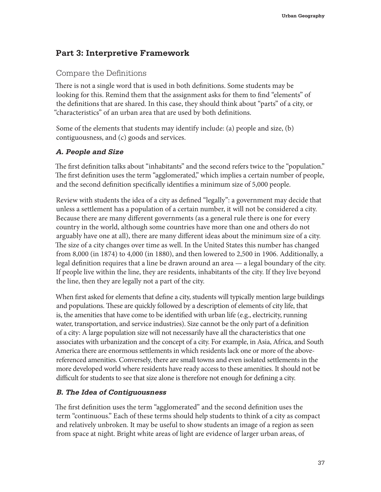#### **Part 3: Interpretive Framework**

#### Compare the Definitions

There is not a single word that is used in both definitions. Some students may be looking for this. Remind them that the assignment asks for them to find "elements" of the definitions that are shared. In this case, they should think about "parts" of a city, or "characteristics" of an urban area that are used by both definitions.

Some of the elements that students may identify include: (a) people and size, (b) contiguousness, and (c) goods and services.

#### **A. People and Size**

The first definition talks about "inhabitants" and the second refers twice to the "population." The first definition uses the term "agglomerated," which implies a certain number of people, and the second definition specifically identifies a minimum size of 5,000 people.

Review with students the idea of a city as defined "legally": a government may decide that unless a settlement has a population of a certain number, it will not be considered a city. Because there are many different governments (as a general rule there is one for every country in the world, although some countries have more than one and others do not arguably have one at all), there are many different ideas about the minimum size of a city. The size of a city changes over time as well. In the United States this number has changed from 8,000 (in 1874) to 4,000 (in 1880), and then lowered to 2,500 in 1906. Additionally, a legal definition requires that a line be drawn around an area — a legal boundary of the city. If people live within the line, they are residents, inhabitants of the city. If they live beyond the line, then they are legally not a part of the city.

When first asked for elements that define a city, students will typically mention large buildings and populations. These are quickly followed by a description of elements of city life, that is, the amenities that have come to be identified with urban life (e.g., electricity, running water, transportation, and service industries). Size cannot be the only part of a definition of a city: A large population size will not necessarily have all the characteristics that one associates with urbanization and the concept of a city. For example, in Asia, Africa, and South America there are enormous settlements in which residents lack one or more of the abovereferenced amenities. Conversely, there are small towns and even isolated settlements in the more developed world where residents have ready access to these amenities. It should not be difficult for students to see that size alone is therefore not enough for defining a city.

#### **B. The Idea of Contiguousness**

The first definition uses the term "agglomerated" and the second definition uses the term "continuous." Each of these terms should help students to think of a city as compact and relatively unbroken. It may be useful to show students an image of a region as seen from space at night. Bright white areas of light are evidence of larger urban areas, of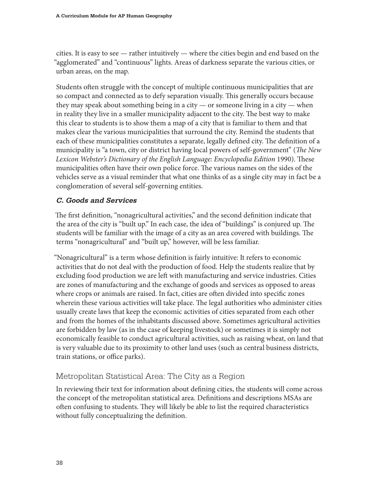cities. It is easy to see  $-$  rather intuitively  $-$  where the cities begin and end based on the "agglomerated" and "continuous" lights. Areas of darkness separate the various cities, or urban areas, on the map.

Students often struggle with the concept of multiple continuous municipalities that are so compact and connected as to defy separation visually. This generally occurs because they may speak about something being in a city — or someone living in a city — when in reality they live in a smaller municipality adjacent to the city. The best way to make this clear to students is to show them a map of a city that is familiar to them and that makes clear the various municipalities that surround the city. Remind the students that each of these municipalities constitutes a separate, legally defined city. The definition of a municipality is "a town, city or district having local powers of self-government" (*The New Lexicon Webster's Dictionary of the English Language: Encyclopedia Edition* 1990). These municipalities often have their own police force. The various names on the sides of the vehicles serve as a visual reminder that what one thinks of as a single city may in fact be a conglomeration of several self-governing entities.

#### **C. Goods and Services**

The first definition, "nonagricultural activities," and the second definition indicate that the area of the city is "built up." In each case, the idea of "buildings" is conjured up. The students will be familiar with the image of a city as an area covered with buildings. The terms "nonagricultural" and "built up," however, will be less familiar.

"Nonagricultural" is a term whose definition is fairly intuitive: It refers to economic activities that do not deal with the production of food. Help the students realize that by excluding food production we are left with manufacturing and service industries. Cities are zones of manufacturing and the exchange of goods and services as opposed to areas where crops or animals are raised. In fact, cities are often divided into specific zones wherein these various activities will take place. The legal authorities who administer cities usually create laws that keep the economic activities of cities separated from each other and from the homes of the inhabitants discussed above. Sometimes agricultural activities are forbidden by law (as in the case of keeping livestock) or sometimes it is simply not economically feasible to conduct agricultural activities, such as raising wheat, on land that is very valuable due to its proximity to other land uses (such as central business districts, train stations, or office parks).

#### Metropolitan Statistical Area: The City as a Region

In reviewing their text for information about defining cities, the students will come across the concept of the metropolitan statistical area. Definitions and descriptions MSAs are often confusing to students. They will likely be able to list the required characteristics without fully conceptualizing the definition.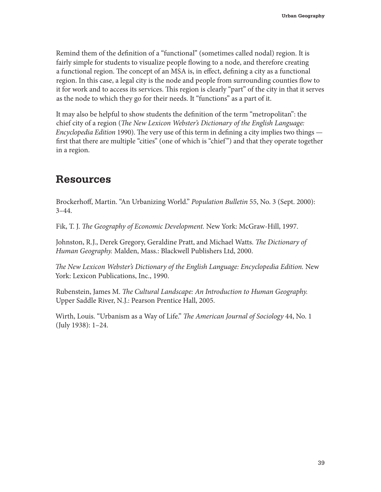Remind them of the definition of a "functional" (sometimes called nodal) region. It is fairly simple for students to visualize people flowing to a node, and therefore creating a functional region. The concept of an MSA is, in effect, defining a city as a functional region. In this case, a legal city is the node and people from surrounding counties flow to it for work and to access its services. This region is clearly "part" of the city in that it serves as the node to which they go for their needs. It "functions" as a part of it.

It may also be helpful to show students the definition of the term "metropolitan": the chief city of a region (*The New Lexicon Webster's Dictionary of the English Language: Encyclopedia Edition* 1990). The very use of this term in defining a city implies two things first that there are multiple "cities" (one of which is "chief ") and that they operate together in a region.

#### **Resources**

Brockerhoff, Martin. "An Urbanizing World." *Population Bulletin* 55, No. 3 (Sept. 2000):  $3-44.$ 

Fik, T. J. *The Geography of Economic Development.* New York: McGraw-Hill, 1997.

Johnston, R.J., Derek Gregory, Geraldine Pratt, and Michael Watts. *The Dictionary of Human Geography.* Malden, Mass.: Blackwell Publishers Ltd, 2000.

*The New Lexicon Webster's Dictionary of the English Language: Encyclopedia Edition.* New York: Lexicon Publications, Inc., 1990.

Rubenstein, James M. *The Cultural Landscape: An Introduction to Human Geography.* Upper Saddle River, N.J.: Pearson Prentice Hall, 2005.

Wirth, Louis. "Urbanism as a Way of Life." *The American Journal of Sociology* 44, No. 1 (July 1938): 1–24.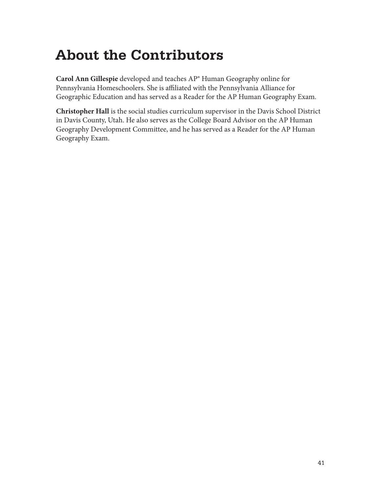# **About the Contributors**

**Carol Ann Gillespie** developed and teaches AP® Human Geography online for Pennsylvania Homeschoolers. She is affiliated with the Pennsylvania Alliance for Geographic Education and has served as a Reader for the AP Human Geography Exam.

**Christopher Hall** is the social studies curriculum supervisor in the Davis School District in Davis County, Utah. He also serves as the College Board Advisor on the AP Human Geography Development Committee, and he has served as a Reader for the AP Human Geography Exam.